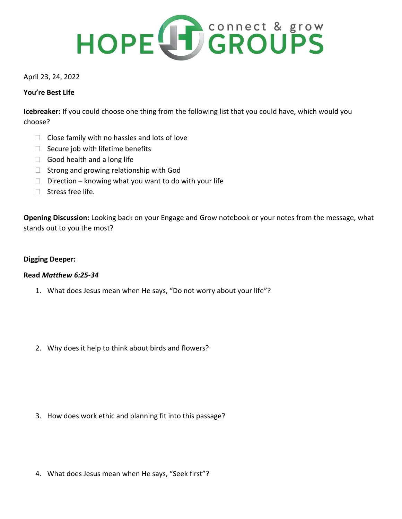

# April 23, 24, 2022

# **You're Best Life**

**Icebreaker:** If you could choose one thing from the following list that you could have, which would you choose?

- $\Box$  Close family with no hassles and lots of love
- $\Box$  Secure job with lifetime benefits
- $\Box$  Good health and a long life
- $\Box$  Strong and growing relationship with God
- $\Box$  Direction knowing what you want to do with your life
- $\Box$  Stress free life.

**Opening Discussion:** Looking back on your Engage and Grow notebook or your notes from the message, what stands out to you the most?

# **Digging Deeper:**

### **Read** *Matthew 6:25-34*

- 1. What does Jesus mean when He says, "Do not worry about your life"?
- 2. Why does it help to think about birds and flowers?

- 3. How does work ethic and planning fit into this passage?
- 4. What does Jesus mean when He says, "Seek first"?